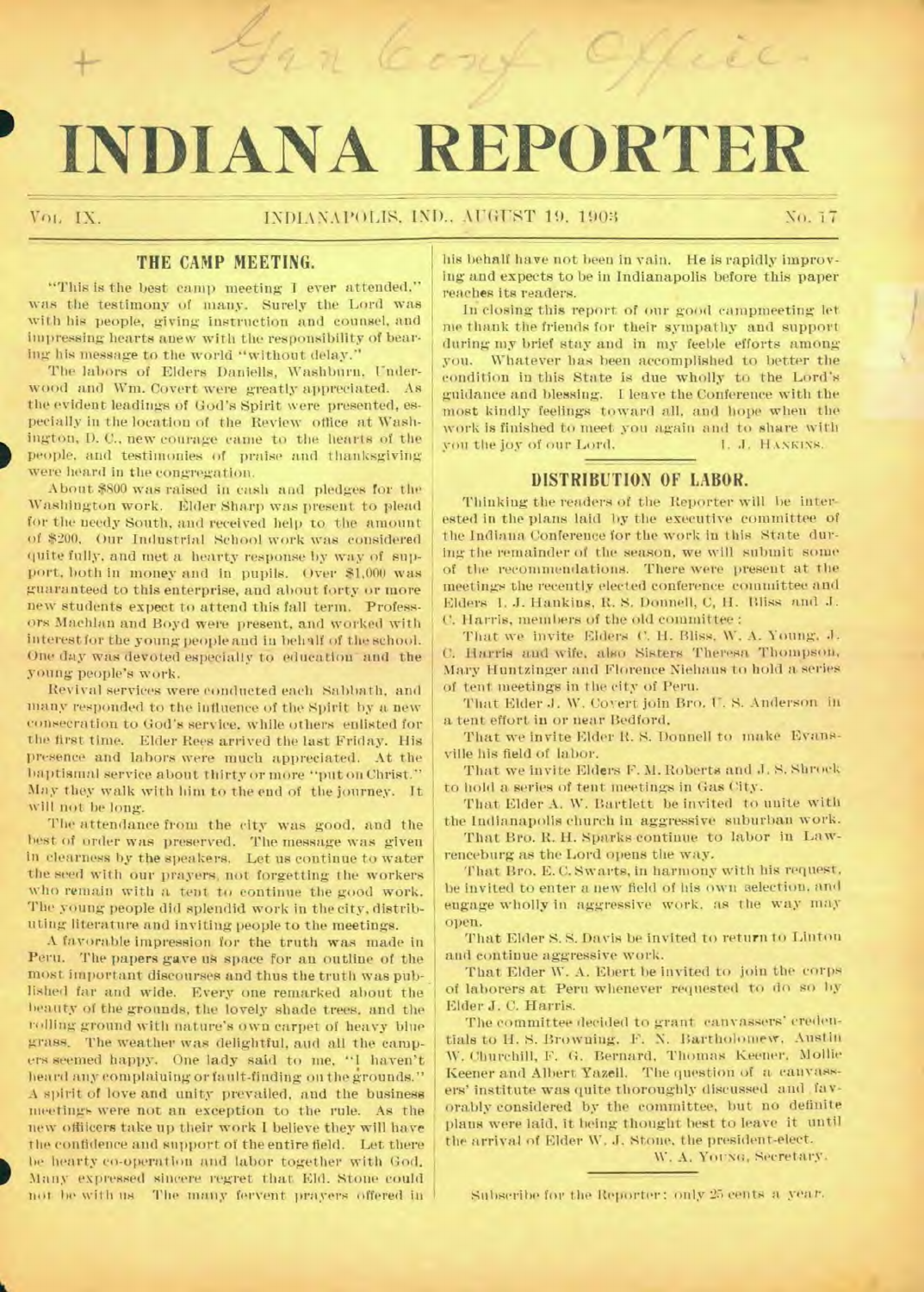# **INDIANA REPORTER**

- -

#### **THE CAMP MEETING.**

"This is the best camp meeting I ever attended." was the testimony of many. Surely the Lord was with his people, giving instruction and counsel, and impressing hearts anew with the responsibility of bearing his message to the world "without delay."

The labors of Elders Daniells, Washburn, Underwood and Wm. Covert were greatly appreciated. As the evident leadings of God's Spirit were presented, especially in the location of the Review office at Washington, **D.** C., new courage came to the hearts of the people, and testimonies of praise and thanksgiving were heard in the congregation.

About \$800 was raised in cash and pledges for the Washington work. Ilder Sharp was present to plead for the needy South, and received help to the amount of \$200, Our Industrial School work vas considered quite fully, and net a hearty response by way of support. both in money and in pupils. Over \$1,000 was guaranteed to this enterprise, and about forty or more new students expect to attend this fall term. Professors Maehlan and Boyd were present, and worked with interest for the young people and in behalf of the school. One day was devoted especially to education and the young people's work.

Revival services were conducted each Sabbath, and many responded to the influence of the Spirit by a new consecration to God's service, while others enlisted for the first time. Elder Rees arrived the last Friday. His presence and labors were much appreciated. At the baptismal service about thirty or more "put on Christ." May they walk with him to the end of the journey. It will not be long.

The attendance from the city was good. and the best of order was preserved. The message was given in clearness by the speakers. Let us continue to water the seed with our prayers, not forgetting the workers who remain with a tent to continue the good work. The young people did splendid work in the city, distributing literature and inviting people to the meetings.

A favorable impression for the truth was made in Peru. The papers gave uk space for an outline of the most important discourses and thus the truth was published **far** and wide. Every one remarked about the beauty of the grounds, the lovely shade trees, and the rolling ground with nature's own carpet of heavy blue grass. The weather was delightful. and all the campers seemed happy. One lady said to me, "I haven't heard any complaining or fault-finding on the grounds." A spirit of love and unity prevailed, and the business meetings were not an exception to the rule. As the new offiicers take up their work I believe they will have the confidence and support of the entire field. Let there be hearty co-operation and labor together with God. Many expressed sincere regret that Eld. Stone could not be with us The many fervent. prayers offered in

his behalf have not been in vain. He is rapidly improving and expects to be in Indianapolis before this paper reaches its readers.

In closing this report of our good eampmeeting let me thank the friends for their sympathy and support during my brief stay and in my feeble efforts among you. Whatever has been accomplished to better the condition in this State is due wholly to the Lord's guidance and blessing. I leave the Conference with the most kindly feelings toward all, and hope when the work is finished to meet you again and to share with<br>you the joy of our Lord. [1, J. HANKINS] you the joy of our Lord.

#### **DISTRIBUTION OF LABOR.**

Thinking the readers of the Reporter will be interested in the plans laid by the executive committee of the Indiana Conference for the work in this State during the remainder of the season, we will submit some of the recommendations. There were present at the meetings the recently elected conference committee and Elders I. J. Hankins, R. S. Donnell, C, H. Bliss and J. C. Harris, members of the old committee :

That we invite Elders C. H. Bliss, W. A. Young, .1. C. Harris and wife, also Sisters Theresa Thompson, Mary Huntzinger and Florence Niehaus to hold a series of tent meetings in the city of Peru.

That Elder J. W. Covert join Bro. U. S. Anderson in a tent effort in or near Bedford.

That we invite Elder **It.** S. Donnell to make Evansville his field of labor.

That we invite Elders P. M. Roberts and **.1.** S. Shroek to hold a series of tent meetings in Gas City.

That Elder A. W. Bartlett be invited to unite with the Indianapolis church in aggressive suburban work.

That Bro. R. H. Sparks continue to labor in Lawrenceburg as the Lord opens the way.

That Bro. E.C. Swarts, in harmony with his request, be invited to enter a new field of his own selection. and engage wholly in aggressive work, as the way may open.

That Elder S. S. Davis be invited to return to Linton and continue aggressive work.

That Elder W. A. Ebert be invited to join the corps of laborers at Peru whenever requested to do so by Elder J. C. Harris.

The committee decided to grant canvassers' credentials to H. S. Browning. F. N. Bartholomew, Austin W. Churchill, F. G. Bernard, Thomas Keener. Mollie Keener and Albert Yazell. The question of a canvassers' institute was quite thoroughly discussed and favorably considered by the committee, but no definite plans were laid, it being thought best to leave it until the arrival of Elder W. J. Stone, the president-elect.

W. A. YOUNG, Secretary.

Subscribe for the Reporter: only 25 cents a year.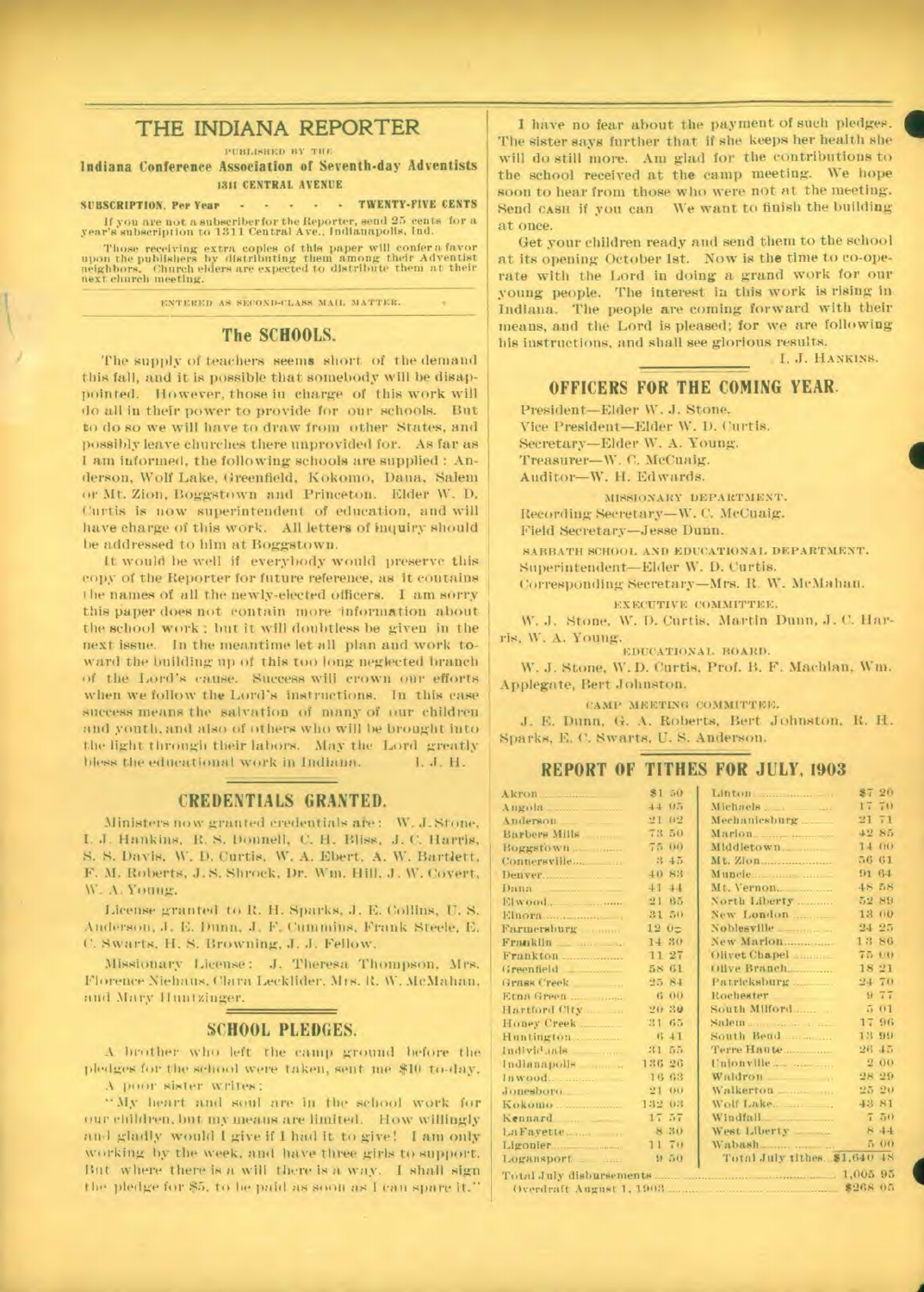## **THE INDIANA REPORTER**

PUBLISHED BY THE

**Indiana Conference Association of Seventh-day Adventists 1311 CENTRAL AVENUE** 

**SUBSCRIPTION.** Per Year TWENTY-FIVE CENTS **II** you are not a subscriber for the Reporter, send 25 cents for a year's subscription to 1311 Central Ave., Indianapolis, Ind.

Those receiving extra copies of this paper will confer a favor upon the publishers by distributing them among their Adventist neighbors. Church elders are expected to distribute them at their neighbors. Church e<br>next church meeting.

ENTERED AS SECOND-CLASS MAIL. MATTER.

#### **The SCHOOLS.**

The supply of teachers seems short of the demand this fall, and it is possible that somebody will be disappointed. However, those in charge of this work will do all in their power to provide for our schools. But to do so we will have to draw from other States, and possibly leave churches there unprovided for. As far as I am informed, the following schools are supplied : Anderson, Wolf Lake, Greenfield, Kokomo, Dana, Salem or Mt. Zion, Boggstown and Princeton. Elder W. D. Curtis is now superintendent of education, and will have charge of this work. All letters of inquiry should be addressed to him at Boggstown.

It would be well if everybody would preserve this copy of the Reporter for future reference, as it contains he names of all the newly-elected officers. I am sorry this paper does not contain more information about the school work ; but it will doubtless be given in the next issue. In the meantime let all plan and work toward the building up of this too long neglected branch of the Lord's cause. Success will crown our efforts when we follow the Lord's instructions. In this case success means the salvation of many of our children and youth, and also of others who will be brought into the light through their labors. May the Lord greatly bless the educational work in Indiana. 1. J. H.

#### **CREDENTIALS GRANTED.**

Ministers now granted credentials ate : W. J. Stone, 1. J. Hankins, R. S. Donnell, C. H. Bliss, J. C. Harris, S. S. Davis, W. D. Curtis, W. A. Ebert, A. W. Bartlett, F. M. Roberts, J. S. Shrock, Dr. Wm. Hill, J. W. Covert, W. A. Young.

License granted to R. H. Sparks, J. E. Collins, U. S. Anderson, J. E. Dunn, J. F. Cummins, Frank Steele, E. C. Swarts, H. S. Browning, J. J. Fellow.

Missionary License: J. Theresa Thompson, Mrs. Florence Niehaus. Clara Leeklider. Mrs. It. W. McMahan. and Mary Huntzinger.

#### **SCHOOL PLEDGES.**

A brother who left the camp ground before the pledges for the school were taken, sent me \$10 to-day. A poor sister writes:

"My heart and soul are in the school work for our children. but my means are limited. How willingly and gladly would I give if I had it to give! I am only working by the week. and have three girls to support. But where there is a will there is a way. I shall sign the pledge for \$5, to be paid as soon as I can spare it."

I *have* no fear about the payment of such pledges. The sister says further that if she keeps her health she will do still more. Am glad for the contributions to the school received at the camp meeting. We hope soon to hear from those who were not at the meeting. Send CASH if you can We want to finish the building at once.

Get your children ready and send them to the school at its opening October 1st. Now is the time to co-operate with the Lord in doing a grand work for our young people. The interest in this work is rising in Indiana. The people are coming forward with their means, and the Lord is pleased; for we are following his instructions, and shall see glorious results.

1.J. HANKINS.

#### **OFFICERS FOR THE COMING YEAR.**

President—Elder W.J. Stone. Vice President—Elder W. 1). Curtis. Secretary—Elder W. A. Young. Treasurer—\V. C. McCuaig. Auditor—W. H. Edwards.

MISSIONARY DEPARTMENT.

Recording Secretary—W. C. McCuaig. Field Secretary—Jesse Dunn.

SABBATH SCHOOL AND EDUCATIONAL DEPARTMENT.

Superintendent—Elder W. D. Curtis.

Corresponding Secretary—Mrs. It. W. McMahan.

EXECUTIVE COMMITTEE.

W. J. Stone, W. D. Curtis, Martin Dunn, J. C. Harris, W. A. Young.

EDUCATIONAL BOARD.

W. J. Stone, W. D. Curtis, Prof. B. F. Machlan, Wm. Applegate, Bert Johnston.

CAMP MEETING COMMITTEE.

J. E. Dunn, G. A. Roberts, Bert Johnston, R. H. Sparks, E. C. Swarts, U. S. Anderson.

#### REPORT OF TITHES FOR JULY, 1903

| Akron         | \$1 50       | Linton                        | \$720    |
|---------------|--------------|-------------------------------|----------|
|               | 44.05        |                               | 17,70    |
|               | 91 02        | Mechanicsburg                 | 21 71    |
| Barbers Mills | 73.50        | Marion.                       | 42 85    |
|               | 75.00        | Middletown.                   | 14.00    |
| Conners ville | 345          | Mt. Zion                      | 56 61    |
|               | <b>40 83</b> |                               | 9164     |
|               | $+1$ $+1$    | Mt. Vernon.                   | 48.58    |
|               | 21 65        | North Liberty                 | 52 89    |
| Elnora        | 31 50        | New London                    | 13 00    |
| Farmersburg   | 12.0z        | Noblesville                   | 24 25    |
|               | 14.30        |                               | 13 86    |
| Frankton      | 11 27        | Olivet Chapel                 | 75 00    |
| Greenfield    | 58 61        | Olive Branch                  | 18 21    |
| Grass Creek   | 95 84        | Patricksburg                  | 24,70    |
| Etna Green    | 6.00         |                               | 9.77     |
| Hartford City | 20.30        | South Milford                 | 5.01     |
| Honey Creek   | 31 65        |                               | 1796     |
|               | 6 4 1        |                               | 121 5957 |
|               | 31 55        | Terre Haute                   | 26 45    |
|               | 136 26       |                               | 2 00     |
|               | 16 63        | Waldron                       | 28 29    |
| Jonesboro     | 21 00        | Walkerton                     | 25 20    |
| Kokomo        | 132 03       | Wolf Lake.                    | 43 S1    |
|               | 17 57        | Windfall.                     | 7.50     |
| La Fayette    | <b>8 30</b>  | West Liberty                  | $8 + 4$  |
|               | 11 70        | Wabash                        | 5.00     |
|               | 9.50         | Total July tithes. \$1,640 48 |          |
|               |              |                               |          |
|               |              |                               | \$268 05 |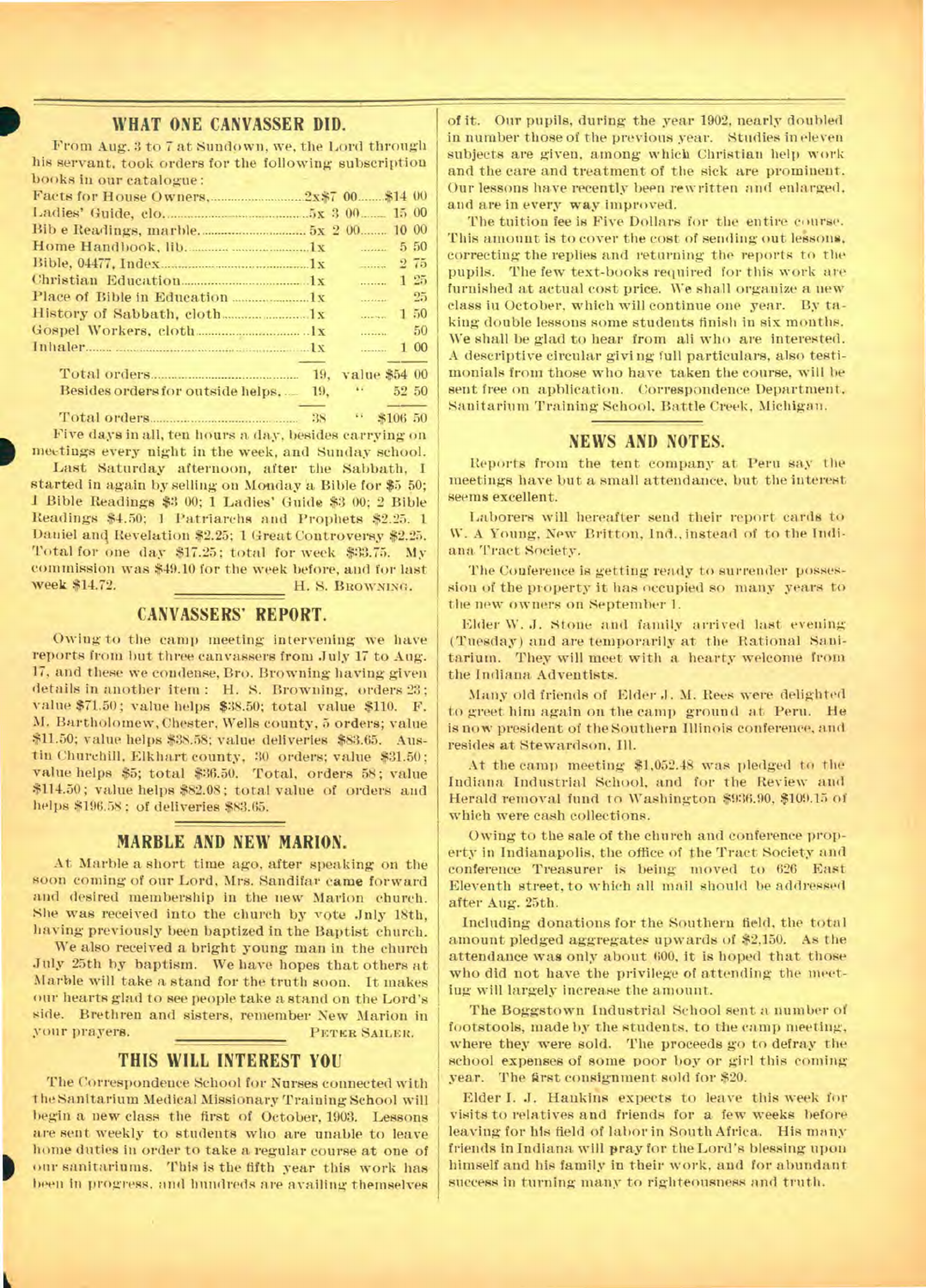#### **WHAT ONE CANVASSER DID.**

From Aug. 3 to 7 at Sundown, we, the Lord through his servant, took orders for the following subscription books in our catalogue:

|                                   |     | $\frac{1}{2}$ 5 50  |     |      |
|-----------------------------------|-----|---------------------|-----|------|
|                                   |     | 275                 |     |      |
|                                   |     |                     |     |      |
|                                   |     | $\frac{25}{25}$     |     |      |
|                                   |     | 150                 |     |      |
|                                   |     | $\ldots$ 50         |     |      |
|                                   |     | man                 |     | 1 00 |
|                                   |     |                     |     |      |
| Besides orders for outside helps. | 19. | $\frac{1}{2}$ 52 50 |     |      |
| Total orders 38 "\$106 50         |     |                     | --- |      |

Five days in all, ten hours a day, besides carrying on meetings every night in the week, and Sunday school.

Last Saturday afternoon, after the Sabbath, I started in again by selling on Monday a Bible for \$5 50; I Bible Readings \$3 00; 1 Ladies' Guide \$3 00; 2 Bible Readings \$4.50; 1 Patriarchs and Prophets \$2.25. 1 Daniel an4 Revelation \$2.25; 1 Great Controversy \$2.25. Total for one day \$17.25; total for week \$33.75. My commission was \$49.10 for the week before, and for last H. S. BROWNING.

#### **CANVASSERS' REPORT.**

Owing to the camp meeting intervening we have reports from but three canvassers from July 17 to Aug. 17, and these we condense, Bro. Browning having given details in another item : H. S. Browning, orders 23 ; value \$71.50; value helps \$38.50; total value \$110. F. M. Bartholomew, Chester, Wells county, 5 orders; value \$11.50; value helps \$38.58; value deliveries \$83.65. Austin Churchill, Elkhart county, 30 orders; value \$31.50; value helps \$5; total \$36.50. Total, orders 58; value \$114.50; value helps \$82.08; total value of orders and helps \$196.58 ; of deliveries \$83.65.

#### **MARBLE AND NEW MARION.**

At Marble a short time ago, after speaking on the soon coming of our Lord, Mrs. Sandifar came forward and desired membership in the new Marion church. She was received into the church by vote Jnly 18th, having previously been baptized in the Baptist church.

We also received a bright young man in the church July 25th by baptism. We have hopes that others at Marble will take a stand for the truth soon. It makes our hearts glad to see people take a stand on the Lord's side. Brethren and sisters, remember New Marion in PETER SAILER.

#### **THIS WILL INTEREST YOU**

The Correspondence School for Nurses connected with the Sanitarium Medical Missionary Training School will begin a new class the first of October, 1903. Lessons are sent weekly to students who are unable to leave home duties in order to take a regular course at one of our sanitariums. This is the fifth year this work has been in progress. and hundreds are availing themselves of it. Our pupils, during the year 1902, nearly doubled in number those of the previous year. Studies in eleven subjects are given, among which Christian help work and the care and treatment of the sick are prominent. Our lessons have recently been rewritten and enlarged. and are in every way improved.

The tuition fee is Five Dollars for the entire course. This amount is to cover the cost of sending out lessons, correcting the replies and returning the reports to the pupils. The few text-books required for this work are furnished at actual cost price. We shall organize a new class iu October, which will continue one year. By taking double lessons some students finish in six months. We shall be glad to hear from all who are interested. A descriptive circular giving full particulars, also testimonials from those who have taken the course, will he sent free on apblication. Correspondence Department, Sanitarium Training School, Battle Creek, Michigan.

#### **NEWS AND NOTES.**

Reports from the tent company at Peru say the meetings have but a small attendance, but the interest seems excellent.

Laborers will hereafter send their report cards to W. A Young, New Britton, **Ind.,** instead of to the Indiana. Tract Society.

The Conference is getting ready to surrender possession of the property it has occupied so many years to the new owners on September 1.

Elder W. J. Stone and family arrived last evening (Tuesday) and are temporarily at the Rational Sanitarium. They will meet with a hearty welcome from the Indiana Adventists.

Many old friends of Elder .1. M. Rees were delighted to greet him again on the camp ground at Peru. He is now president of the Southern Illinois conference, and resides at Stewardson,

At the camp meeting \$1,052.48 was pledged to the Indiana Industrial School, and for the Review and Herald removal fund to Washington \$936.90, \$109.15 of which were cash collections.

Owing to the sale of the church and conference property in Indianapolis, the office of the Tract Society and conference Treasurer is being moved to 626 East Eleventh street, to which all mail should be addressed after Aug. 25th.

Including donations for the Southern field, the total amount pledged aggregates upwards of \$2,150. As the attendance was only about 600, it is hoped that those who did not have the privilege of attending the meeting will largely increase the amount.

The Boggstown Industrial School sent a number of footstools, made by the students, to the camp meeting, where they were sold. The proceeds go to defray the school expenses of some poor boy or girl this coming year. The first consignment sold for \$20.

Elder I. J. Hankins expects to leave this week for visits to relatives and friends for a few weeks before leaving for his field of labor in South Africa. His many friends in Indiana will pray for the Lord's blessing upon himself and his family in their work, and for abundant success in turning many to righteousness and truth.